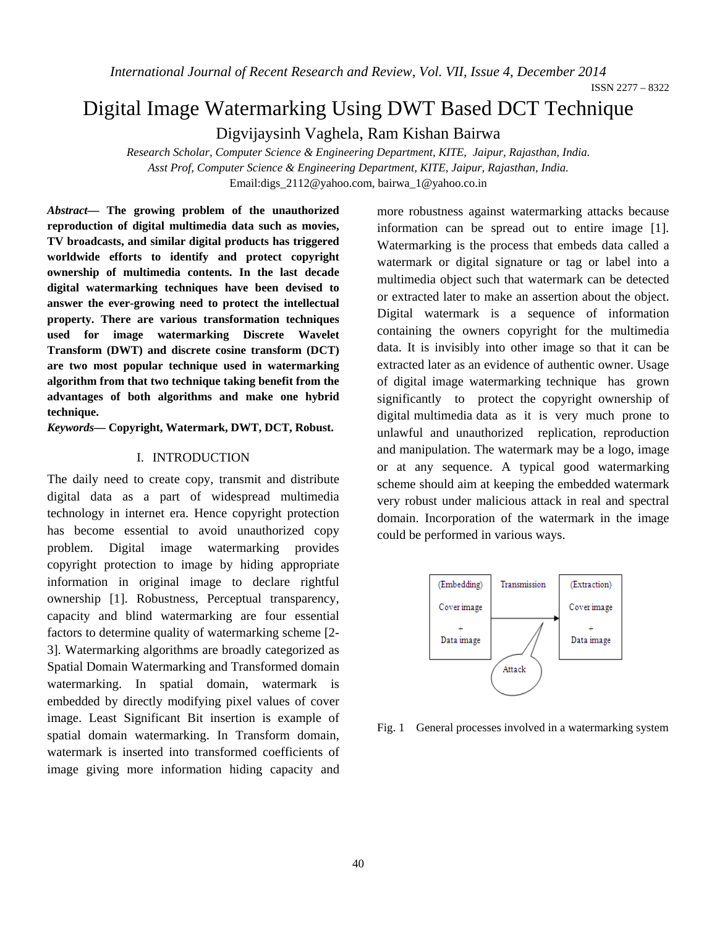*International Journal of Recent Research and Review, Vol. VII, Issue 4, December 2014* 

ISSN 2277 – 8322

# Digital Image Watermarking Using DWT Based DCT Technique

Digvijaysinh Vaghela, Ram Kishan Bairwa

*Research Scholar, Computer Science & Engineering Department, KITE, Jaipur, Rajasthan, India. Asst Prof, Computer Science & Engineering Department, KITE, Jaipur, Rajasthan, India.*  Email:digs\_2112@yahoo.com, bairwa\_1@yahoo.co.in

*Abstract***— The growing problem of the unauthorized reproduction of digital multimedia data such as movies, TV broadcasts, and similar digital products has triggered worldwide efforts to identify and protect copyright ownership of multimedia contents. In the last decade digital watermarking techniques have been devised to answer the ever-growing need to protect the intellectual property. There are various transformation techniques used for image watermarking Discrete Wavelet Transform (DWT) and discrete cosine transform (DCT) are two most popular technique used in watermarking algorithm from that two technique taking benefit from the advantages of both algorithms and make one hybrid technique.** 

*Keywords***— Copyright, Watermark, DWT, DCT, Robust.** 

#### I. INTRODUCTION

The daily need to create copy, transmit and distribute digital data as a part of widespread multimedia technology in internet era. Hence copyright protection has become essential to avoid unauthorized copy problem. Digital image watermarking provides copyright protection to image by hiding appropriate information in original image to declare rightful ownership [1]. Robustness, Perceptual transparency, capacity and blind watermarking are four essential factors to determine quality of watermarking scheme [2- 3]. Watermarking algorithms are broadly categorized as Spatial Domain Watermarking and Transformed domain watermarking. In spatial domain, watermark is embedded by directly modifying pixel values of cover image. Least Significant Bit insertion is example of spatial domain watermarking. In Transform domain, watermark is inserted into transformed coefficients of image giving more information hiding capacity and

more robustness against watermarking attacks because information can be spread out to entire image [1]. Watermarking is the process that embeds data called a watermark or digital signature or tag or label into a multimedia object such that watermark can be detected or extracted later to make an assertion about the object. Digital watermark is a sequence of information containing the owners copyright for the multimedia data. It is invisibly into other image so that it can be extracted later as an evidence of authentic owner. Usage of digital image watermarking technique has grown significantly to protect the copyright ownership of digital multimedia data as it is very much prone to unlawful and unauthorized replication, reproduction and manipulation. The watermark may be a logo, image or at any sequence. A typical good watermarking scheme should aim at keeping the embedded watermark very robust under malicious attack in real and spectral domain. Incorporation of the watermark in the image could be performed in various ways.



Fig. 1 General processes involved in a watermarking system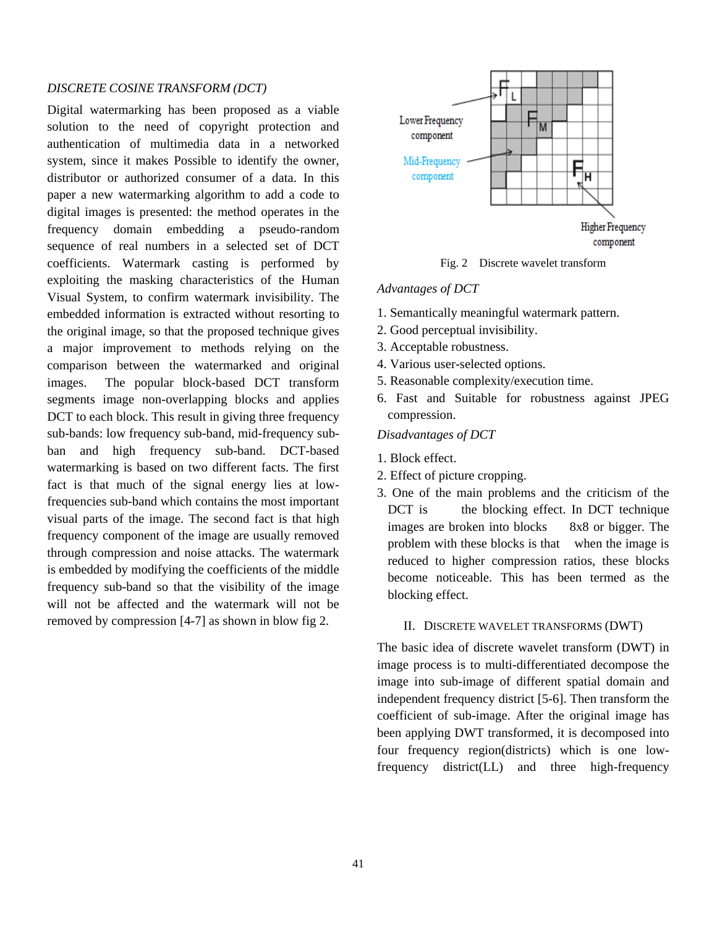#### *DISCRETE COSINE TRANSFORM (DCT)*

Digital watermarking has been proposed as a viable solution to the need of copyright protection and authentication of multimedia data in a networked system, since it makes Possible to identify the owner, distributor or authorized consumer of a data. In this paper a new watermarking algorithm to add a code to digital images is presented: the method operates in the frequency domain embedding a pseudo-random sequence of real numbers in a selected set of DCT coefficients. Watermark casting is performed by exploiting the masking characteristics of the Human Visual System, to confirm watermark invisibility. The embedded information is extracted without resorting to the original image, so that the proposed technique gives a major improvement to methods relying on the comparison between the watermarked and original images. The popular block-based DCT transform segments image non-overlapping blocks and applies DCT to each block. This result in giving three frequency sub-bands: low frequency sub-band, mid-frequency subban and high frequency sub-band. DCT-based watermarking is based on two different facts. The first fact is that much of the signal energy lies at lowfrequencies sub-band which contains the most important visual parts of the image. The second fact is that high frequency component of the image are usually removed through compression and noise attacks. The watermark is embedded by modifying the coefficients of the middle frequency sub-band so that the visibility of the image will not be affected and the watermark will not be removed by compression [4-7] as shown in blow fig 2.



Fig. 2 Discrete wavelet transform

#### *Advantages of DCT*

- 1. Semantically meaningful watermark pattern.
- 2. Good perceptual invisibility.
- 3. Acceptable robustness.
- 4. Various user-selected options.
- 5. Reasonable complexity/execution time.
- 6. Fast and Suitable for robustness against JPEG compression.

*Disadvantages of DCT* 

- 1. Block effect.
- 2. Effect of picture cropping.
- 3. One of the main problems and the criticism of the DCT is the blocking effect. In DCT technique images are broken into blocks 8x8 or bigger. The problem with these blocks is that when the image is reduced to higher compression ratios, these blocks become noticeable. This has been termed as the blocking effect.

#### II. DISCRETE WAVELET TRANSFORMS (DWT)

The basic idea of discrete wavelet transform (DWT) in image process is to multi-differentiated decompose the image into sub-image of different spatial domain and independent frequency district [5-6]. Then transform the coefficient of sub-image. After the original image has been applying DWT transformed, it is decomposed into four frequency region(districts) which is one lowfrequency district(LL) and three high-frequency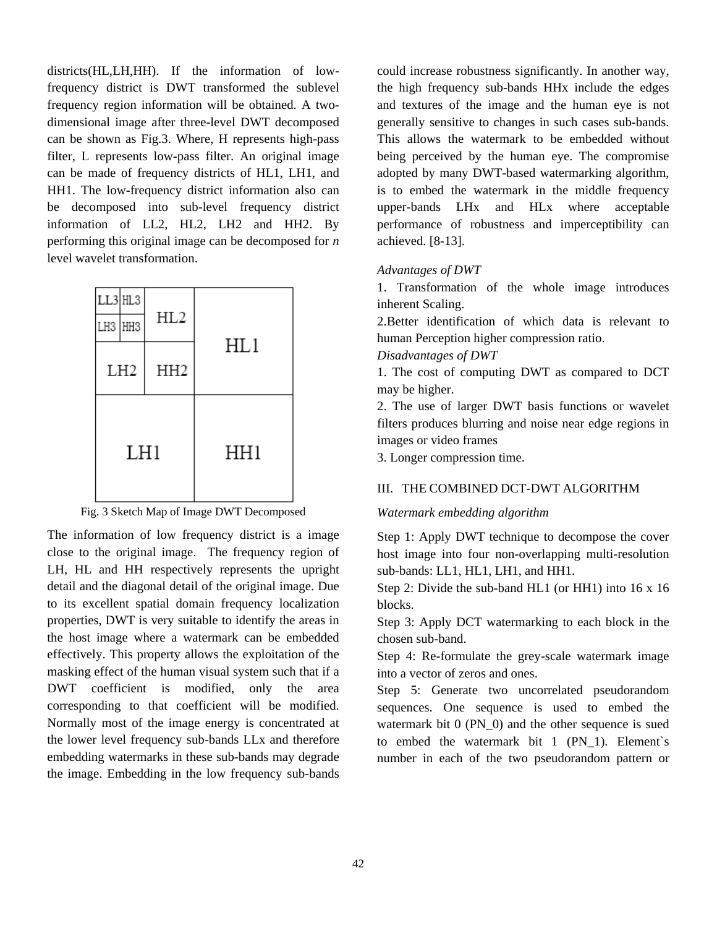districts(HL,LH,HH). If the information of lowfrequency district is DWT transformed the sublevel frequency region information will be obtained. A twodimensional image after three-level DWT decomposed can be shown as Fig.3. Where, H represents high-pass filter, L represents low-pass filter. An original image can be made of frequency districts of HL1, LH1, and HH1. The low-frequency district information also can be decomposed into sub-level frequency district information of LL2, HL2, LH2 and HH2. By performing this original image can be decomposed for *n*  level wavelet transformation.

| LL3 HL3<br>LH3 HH3 |  | HL2             |     |  |
|--------------------|--|-----------------|-----|--|
| LH <sub>2</sub>    |  | HH <sub>2</sub> | HL1 |  |
| LH1                |  |                 | HH1 |  |

Fig. 3 Sketch Map of Image DWT Decomposed

The information of low frequency district is a image close to the original image. The frequency region of LH, HL and HH respectively represents the upright detail and the diagonal detail of the original image. Due to its excellent spatial domain frequency localization properties, DWT is very suitable to identify the areas in the host image where a watermark can be embedded effectively. This property allows the exploitation of the masking effect of the human visual system such that if a DWT coefficient is modified, only the area corresponding to that coefficient will be modified. Normally most of the image energy is concentrated at the lower level frequency sub-bands LLx and therefore embedding watermarks in these sub-bands may degrade the image. Embedding in the low frequency sub-bands

could increase robustness significantly. In another way, the high frequency sub-bands HHx include the edges and textures of the image and the human eye is not generally sensitive to changes in such cases sub-bands. This allows the watermark to be embedded without being perceived by the human eye. The compromise adopted by many DWT-based watermarking algorithm, is to embed the watermark in the middle frequency upper-bands LHx and HLx where acceptable performance of robustness and imperceptibility can achieved. [8-13].

### *Advantages of DWT*

1. Transformation of the whole image introduces inherent Scaling.

2.Better identification of which data is relevant to human Perception higher compression ratio.

#### *Disadvantages of DWT*

1. The cost of computing DWT as compared to DCT may be higher.

2. The use of larger DWT basis functions or wavelet filters produces blurring and noise near edge regions in images or video frames

3. Longer compression time.

#### III. THE COMBINED DCT-DWT ALGORITHM

#### *Watermark embedding algorithm*

Step 1: Apply DWT technique to decompose the cover host image into four non-overlapping multi-resolution sub-bands: LL1, HL1, LH1, and HH1.

Step 2: Divide the sub-band HL1 (or HH1) into 16 x 16 blocks.

Step 3: Apply DCT watermarking to each block in the chosen sub-band.

Step 4: Re-formulate the grey-scale watermark image into a vector of zeros and ones.

Step 5: Generate two uncorrelated pseudorandom sequences. One sequence is used to embed the watermark bit 0 (PN\_0) and the other sequence is sued to embed the watermark bit 1 (PN\_1). Element`s number in each of the two pseudorandom pattern or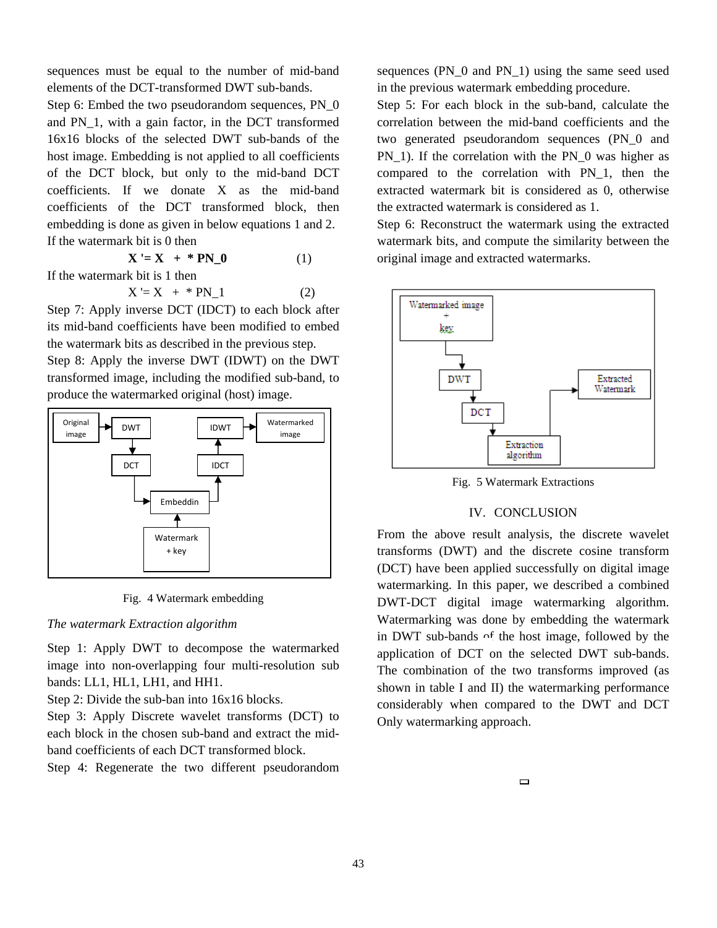sequences must be equal to the number of mid-band elements of the DCT-transformed DWT sub-bands.

Step 6: Embed the two pseudorandom sequences, PN\_0 and PN\_1, with a gain factor, in the DCT transformed 16x16 blocks of the selected DWT sub-bands of the host image. Embedding is not applied to all coefficients of the DCT block, but only to the mid-band DCT coefficients. If we donate X as the mid-band coefficients of the DCT transformed block, then embedding is done as given in below equations 1 and 2. If the watermark bit is 0 then

$$
\mathbf{X} = \mathbf{X} + \mathbf{P} \mathbf{N} \mathbf{0} \tag{1}
$$

If the watermark bit is 1 then

$$
X = X + * PN_1 \tag{2}
$$

Step 7: Apply inverse DCT (IDCT) to each block after its mid-band coefficients have been modified to embed the watermark bits as described in the previous step.

Step 8: Apply the inverse DWT (IDWT) on the DWT transformed image, including the modified sub-band, to produce the watermarked original (host) image.



Fig. 4 Watermark embedding

#### *The watermark Extraction algorithm*

Step 1: Apply DWT to decompose the watermarked image into non-overlapping four multi-resolution sub bands: LL1, HL1, LH1, and HH1.

Step 2: Divide the sub-ban into 16x16 blocks.

Step 3: Apply Discrete wavelet transforms (DCT) to each block in the chosen sub-band and extract the midband coefficients of each DCT transformed block.

Step 4: Regenerate the two different pseudorandom

sequences (PN\_0 and PN\_1) using the same seed used in the previous watermark embedding procedure.

Step 5: For each block in the sub-band, calculate the correlation between the mid-band coefficients and the two generated pseudorandom sequences (PN\_0 and PN 1). If the correlation with the PN 0 was higher as compared to the correlation with PN\_1, then the extracted watermark bit is considered as 0, otherwise the extracted watermark is considered as 1.

Step 6: Reconstruct the watermark using the extracted watermark bits, and compute the similarity between the original image and extracted watermarks.



Fig. 5 Watermark Extractions

### IV. CONCLUSION

From the above result analysis, the discrete wavelet transforms (DWT) and the discrete cosine transform (DCT) have been applied successfully on digital image watermarking. In this paper, we described a combined DWT-DCT digital image watermarking algorithm. Watermarking was done by embedding the watermark in DWT sub-bands of the host image, followed by the application of DCT on the selected DWT sub-bands. The combination of the two transforms improved (as shown in table I and II) the watermarking performance considerably when compared to the DWT and DCT Only watermarking approach.

 $\Box$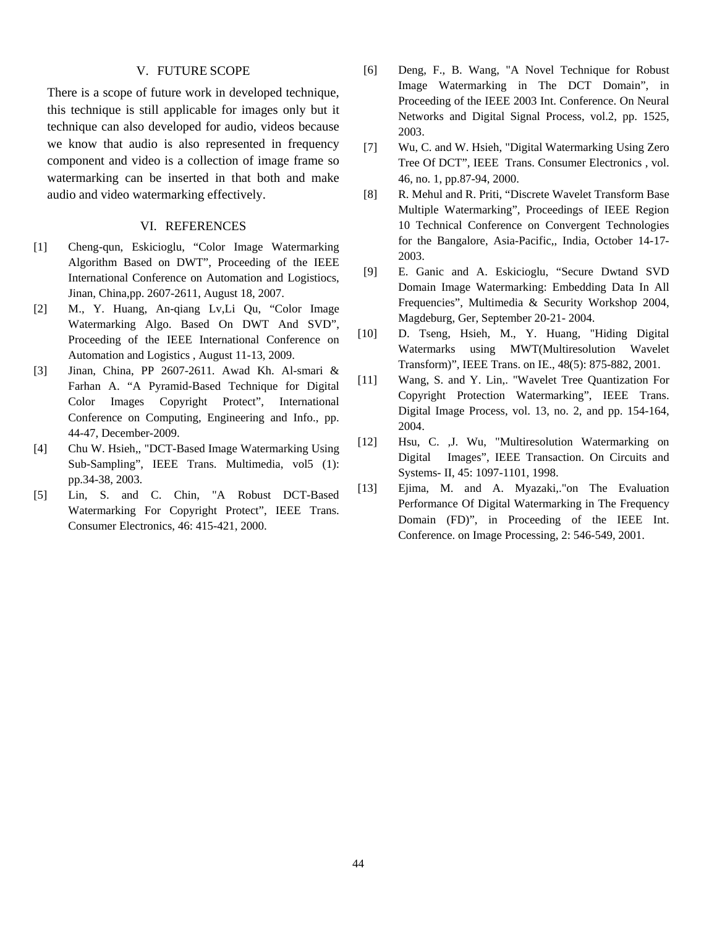#### V. FUTURE SCOPE

There is a scope of future work in developed technique, this technique is still applicable for images only but it technique can also developed for audio, videos because we know that audio is also represented in frequency component and video is a collection of image frame so watermarking can be inserted in that both and make audio and video watermarking effectively.

#### VI. REFERENCES

- [1] Cheng-qun, Eskicioglu, "Color Image Watermarking Algorithm Based on DWT", Proceeding of the IEEE International Conference on Automation and Logistiocs, Jinan, China,pp. 2607-2611, August 18, 2007.
- [2] M., Y. Huang, An-qiang Lv,Li Qu, "Color Image Watermarking Algo. Based On DWT And SVD", Proceeding of the IEEE International Conference on Automation and Logistics , August 11-13, 2009.
- [3] Jinan, China, PP 2607-2611. Awad Kh. Al-smari & Farhan A. "A Pyramid-Based Technique for Digital Color Images Copyright Protect", International Conference on Computing, Engineering and Info., pp. 44-47, December-2009.
- [4] Chu W. Hsieh,, "DCT-Based Image Watermarking Using Sub-Sampling", IEEE Trans. Multimedia, vol5 (1): pp.34-38, 2003.
- [5] Lin, S. and C. Chin, "A Robust DCT-Based Watermarking For Copyright Protect", IEEE Trans. Consumer Electronics, 46: 415-421, 2000.
- [6] Deng, F., B. Wang, "A Novel Technique for Robust Image Watermarking in The DCT Domain", in Proceeding of the IEEE 2003 Int. Conference. On Neural Networks and Digital Signal Process, vol.2, pp. 1525, 2003.
- [7] Wu, C. and W. Hsieh, "Digital Watermarking Using Zero Tree Of DCT", IEEE Trans. Consumer Electronics , vol. 46, no. 1, pp.87-94, 2000.
- [8] R. Mehul and R. Priti, "Discrete Wavelet Transform Base Multiple Watermarking", Proceedings of IEEE Region 10 Technical Conference on Convergent Technologies for the Bangalore, Asia-Pacific,, India, October 14-17- 2003.
- [9] E. Ganic and A. Eskicioglu, "Secure Dwtand SVD Domain Image Watermarking: Embedding Data In All Frequencies", Multimedia & Security Workshop 2004, Magdeburg, Ger, September 20-21- 2004.
- [10] D. Tseng, Hsieh, M., Y. Huang, "Hiding Digital Watermarks using MWT(Multiresolution Wavelet Transform)", IEEE Trans. on IE., 48(5): 875-882, 2001.
- [11] Wang, S. and Y. Lin,. "Wavelet Tree Quantization For Copyright Protection Watermarking", IEEE Trans. Digital Image Process, vol. 13, no. 2, and pp. 154-164, 2004.
- [12] Hsu, C. ,J. Wu, "Multiresolution Watermarking on Digital Images", IEEE Transaction. On Circuits and Systems- II, 45: 1097-1101, 1998.
- [13] Ejima, M. and A. Myazaki,."on The Evaluation Performance Of Digital Watermarking in The Frequency Domain (FD)", in Proceeding of the IEEE Int. Conference. on Image Processing, 2: 546-549, 2001.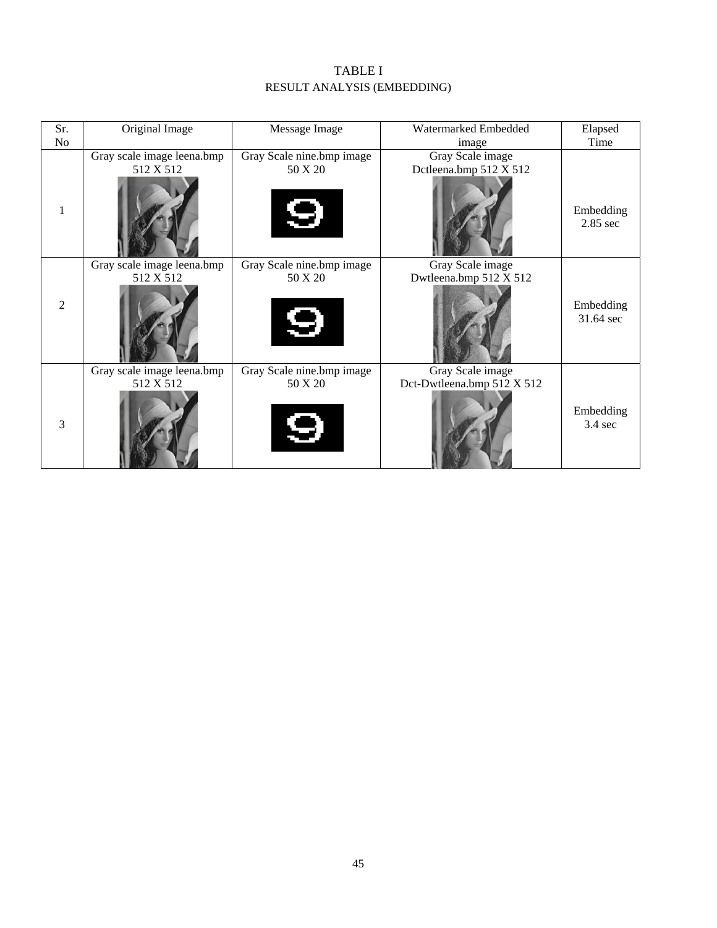## TABLE I RESULT ANALYSIS (EMBEDDING)

| Sr. | Original Image             | Message Image             | Watermarked Embedded       | Elapsed                 |
|-----|----------------------------|---------------------------|----------------------------|-------------------------|
| No  |                            |                           | image                      | Time                    |
|     | Gray scale image leena.bmp | Gray Scale nine.bmp image | Gray Scale image           |                         |
|     | 512 X 512                  | 50 X 20                   | Dctleena.bmp 512 X 512     |                         |
| 1   |                            | 4                         |                            | Embedding<br>$2.85$ sec |
|     | Gray scale image leena.bmp | Gray Scale nine.bmp image | Gray Scale image           |                         |
| 2   | 512 X 512                  | 50 X 20<br>O              | Dwtleena.bmp 512 X 512     | Embedding<br>31.64 sec  |
|     | Gray scale image leena.bmp | Gray Scale nine.bmp image | Gray Scale image           |                         |
| 3   | 512 X 512                  | 50 X 20<br>( ک            | Dct-Dwtleena.bmp 512 X 512 | Embedding<br>3.4 sec    |